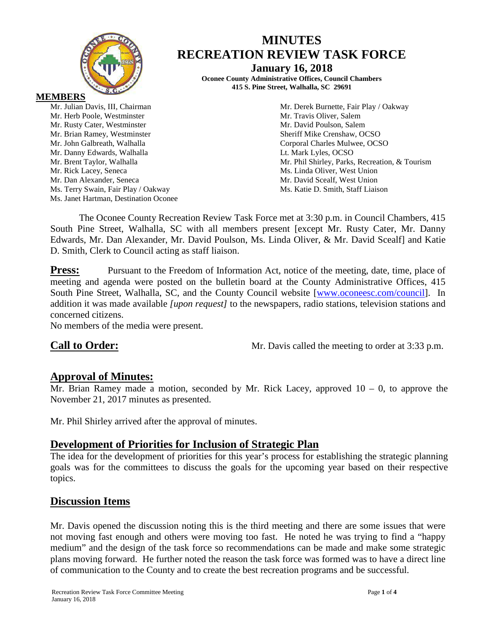

# **MINUTES RECREATION REVIEW TASK FORCE**

**January 16, 2018 Oconee County Administrative Offices, Council Chambers 415 S. Pine Street, Walhalla, SC 29691**

Mr. Julian Davis, III, Chairman Mr. Derek Burnette, Fair Play / Oakway Mr. Brent Taylor, Walhalla Mr. Phil Shirley, Parks, Recreation, & Tourism Mr. David Scealf, West Union

**MEMBERS** Mr. Herb Poole, Westminster Mr. Travis Oliver, Salem Mr. Rusty Cater, Westminster Mr. David Poulson, Salem Mr. Brian Ramey, Westminster Sheriff Mike Crenshaw, OCSO Mr. John Galbreath, Walhalla Corporal Charles Mulwee, OCSO Mr. Danny Edwards, Walhalla **Letter and Luis Containers** Lt. Mark Lyles, OCSO Mr. Rick Lacey, Seneca Ms. Linda Oliver, West Union<br>Mr. Dan Alexander, Seneca Mr. David Scealf, West Union Ms. Terry Swain, Fair Play / Oakway Ms. Katie D. Smith, Staff Liaison Ms. Janet Hartman, Destination Oconee

The Oconee County Recreation Review Task Force met at 3:30 p.m. in Council Chambers, 415 South Pine Street, Walhalla, SC with all members present [except Mr. Rusty Cater, Mr. Danny Edwards, Mr. Dan Alexander, Mr. David Poulson, Ms. Linda Oliver, & Mr. David Scealf] and Katie D. Smith, Clerk to Council acting as staff liaison.

**Press:** Pursuant to the Freedom of Information Act, notice of the meeting, date, time, place of meeting and agenda were posted on the bulletin board at the County Administrative Offices, 415 South Pine Street, Walhalla, SC, and the County Council website [\[www.oconeesc.com/council\]](http://www.oconeesc.com/council). In addition it was made available *[upon request]* to the newspapers, radio stations, television stations and concerned citizens.

No members of the media were present.

**Call to Order:** Mr. Davis called the meeting to order at 3:33 p.m.

# **Approval of Minutes:**

Mr. Brian Ramey made a motion, seconded by Mr. Rick Lacey, approved  $10 - 0$ , to approve the November 21, 2017 minutes as presented.

Mr. Phil Shirley arrived after the approval of minutes.

# **Development of Priorities for Inclusion of Strategic Plan**

The idea for the development of priorities for this year's process for establishing the strategic planning goals was for the committees to discuss the goals for the upcoming year based on their respective topics.

# **Discussion Items**

Mr. Davis opened the discussion noting this is the third meeting and there are some issues that were not moving fast enough and others were moving too fast. He noted he was trying to find a "happy medium" and the design of the task force so recommendations can be made and make some strategic plans moving forward. He further noted the reason the task force was formed was to have a direct line of communication to the County and to create the best recreation programs and be successful.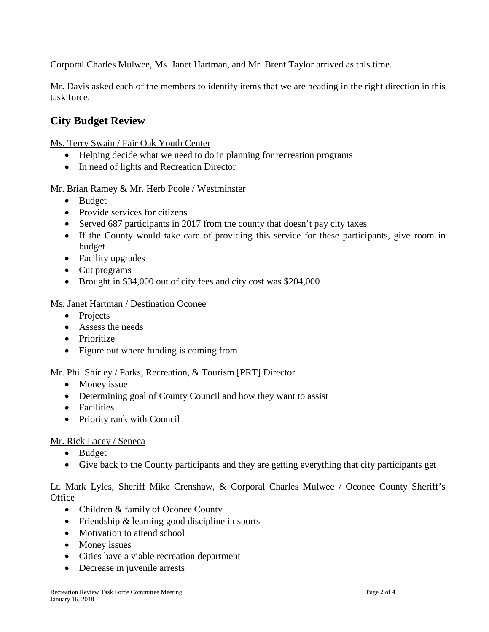Corporal Charles Mulwee, Ms. Janet Hartman, and Mr. Brent Taylor arrived as this time.

Mr. Davis asked each of the members to identify items that we are heading in the right direction in this task force.

# **City Budget Review**

Ms. Terry Swain / Fair Oak Youth Center

- Helping decide what we need to do in planning for recreation programs
- In need of lights and Recreation Director

## Mr. Brian Ramey & Mr. Herb Poole / Westminster

- Budget
- Provide services for citizens
- Served 687 participants in 2017 from the county that doesn't pay city taxes
- If the County would take care of providing this service for these participants, give room in budget
- Facility upgrades
- Cut programs
- Brought in \$34,000 out of city fees and city cost was \$204,000

## Ms. Janet Hartman / Destination Oconee

- Projects
- Assess the needs
- Prioritize
- Figure out where funding is coming from

## Mr. Phil Shirley / Parks, Recreation, & Tourism [PRT] Director

- Money issue
- Determining goal of County Council and how they want to assist
- Facilities
- Priority rank with Council

## Mr. Rick Lacey / Seneca

- Budget
- Give back to the County participants and they are getting everything that city participants get

## Lt. Mark Lyles, Sheriff Mike Crenshaw, & Corporal Charles Mulwee / Oconee County Sheriff's **Office**

- Children & family of Oconee County
- Friendship & learning good discipline in sports
- Motivation to attend school
- Money issues
- Cities have a viable recreation department
- Decrease in juvenile arrests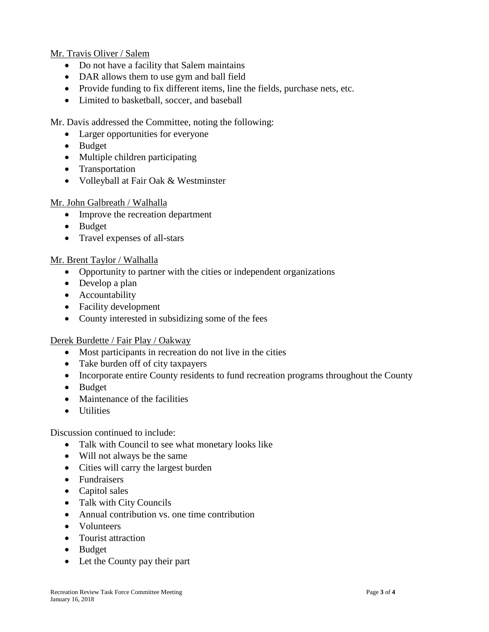#### Mr. Travis Oliver / Salem

- Do not have a facility that Salem maintains
- DAR allows them to use gym and ball field
- Provide funding to fix different items, line the fields, purchase nets, etc.
- Limited to basketball, soccer, and baseball

Mr. Davis addressed the Committee, noting the following:

- Larger opportunities for everyone
- Budget
- Multiple children participating
- Transportation
- Volleyball at Fair Oak & Westminster

#### Mr. John Galbreath / Walhalla

- Improve the recreation department
- Budget
- Travel expenses of all-stars

#### Mr. Brent Taylor / Walhalla

- Opportunity to partner with the cities or independent organizations
- Develop a plan
- Accountability
- Facility development
- County interested in subsidizing some of the fees

#### Derek Burdette / Fair Play / Oakway

- Most participants in recreation do not live in the cities
- Take burden off of city taxpayers
- Incorporate entire County residents to fund recreation programs throughout the County
- Budget
- Maintenance of the facilities
- Utilities

Discussion continued to include:

- Talk with Council to see what monetary looks like
- Will not always be the same
- Cities will carry the largest burden
- Fundraisers
- Capitol sales
- Talk with City Councils
- Annual contribution vs. one time contribution
- Volunteers
- Tourist attraction
- Budget
- Let the County pay their part